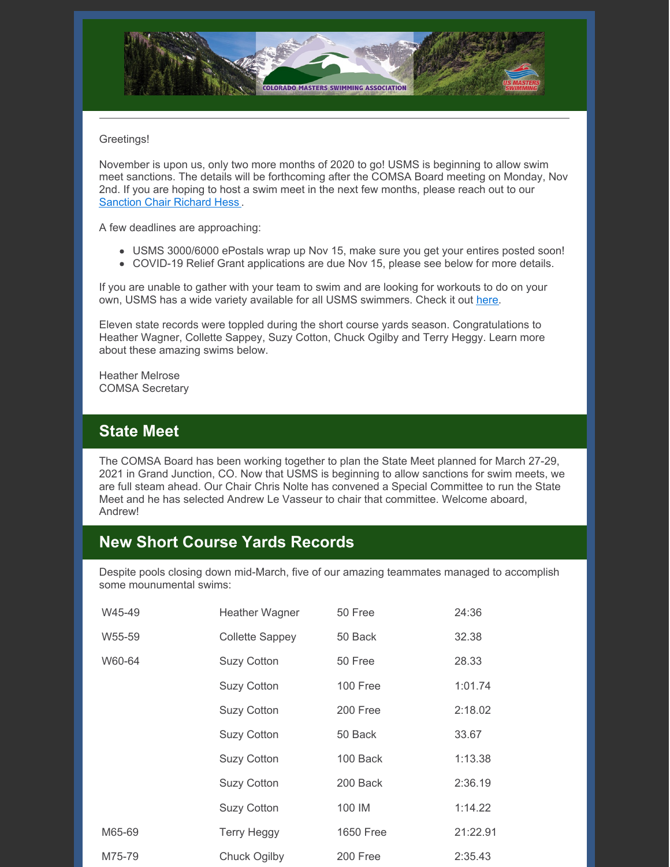

#### Greetings!

November is upon us, only two more months of 2020 to go! USMS is beginning to allow swim meet sanctions. The details will be forthcoming after the COMSA Board meeting on Monday, Nov 2nd. If you are hoping to host a swim meet in the next few months, please reach out to our [Sanction](mailto:rhess54321@aol.com) Chair Richard Hess .

A few deadlines are approaching:

- USMS 3000/6000 ePostals wrap up Nov 15, make sure you get your entires posted soon!
- COVID-19 Relief Grant applications are due Nov 15, please see below for more details.

If you are unable to gather with your team to swim and are looking for workouts to do on your own, USMS has a wide variety available for all USMS swimmers. Check it out [here](https://www.usms.org/workout-library).

Eleven state records were toppled during the short course yards season. Congratulations to Heather Wagner, Collette Sappey, Suzy Cotton, Chuck Ogilby and Terry Heggy. Learn more about these amazing swims below.

Heather Melrose COMSA Secretary

## **State Meet**

The COMSA Board has been working together to plan the State Meet planned for March 27-29, 2021 in Grand Junction, CO. Now that USMS is beginning to allow sanctions for swim meets, we are full steam ahead. Our Chair Chris Nolte has convened a Special Committee to run the State Meet and he has selected Andrew Le Vasseur to chair that committee. Welcome aboard, Andrew!

## **New Short Course Yards Records**

Despite pools closing down mid-March, five of our amazing teammates managed to accomplish some mounumental swims:

| W45-49 | Heather Wagner     | 50 Free          | 24:36    |
|--------|--------------------|------------------|----------|
| W55-59 | Collette Sappey    | 50 Back          | 32.38    |
| W60-64 | <b>Suzy Cotton</b> | 50 Free          | 28.33    |
|        | <b>Suzy Cotton</b> | 100 Free         | 1:01.74  |
|        | <b>Suzy Cotton</b> | 200 Free         | 2:18.02  |
|        | <b>Suzy Cotton</b> | 50 Back          | 33.67    |
|        | <b>Suzy Cotton</b> | 100 Back         | 1:13.38  |
|        | <b>Suzy Cotton</b> | 200 Back         | 2:36.19  |
|        | <b>Suzy Cotton</b> | 100 IM           | 1:14.22  |
| M65-69 | <b>Terry Heggy</b> | <b>1650 Free</b> | 21:22.91 |
| M75-79 | Chuck Ogilby       | 200 Free         | 2:35.43  |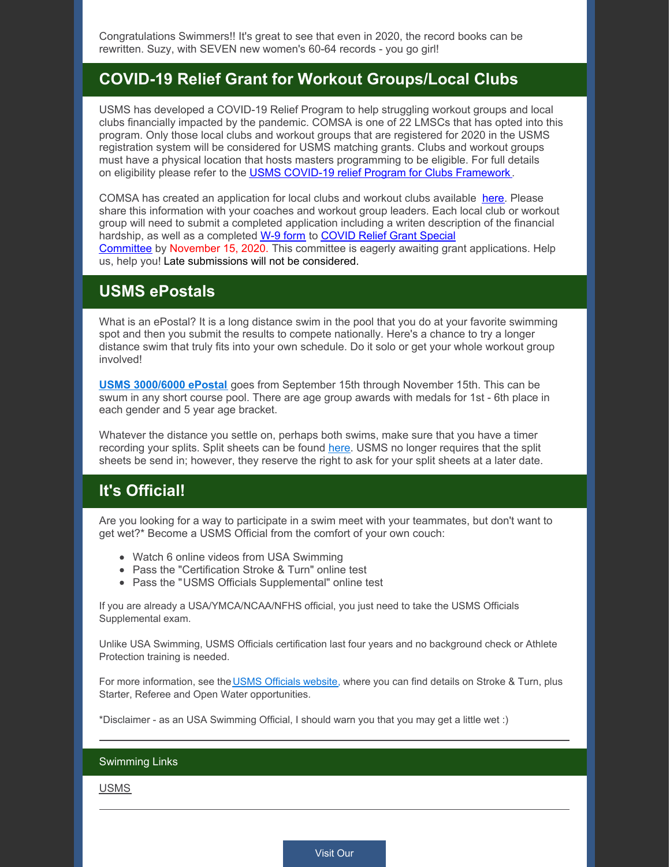Congratulations Swimmers!! It's great to see that even in 2020, the record books can be rewritten. Suzy, with SEVEN new women's 60-64 records - you go girl!

## **COVID-19 Relief Grant for Workout Groups/Local Clubs**

USMS has developed a COVID-19 Relief Program to help struggling workout groups and local clubs financially impacted by the pandemic. COMSA is one of 22 LMSCs that has opted into this program. Only those local clubs and workout groups that are registered for 2020 in the USMS registration system will be considered for USMS matching grants. Clubs and workout groups must have a physical location that hosts masters programming to be eligible. For full details on eligibility please refer to the USMS COVID-19 relief Program for Clubs [Framework](https://www.usms.org/volunteer-central/guide-to-local-operations/covid-19-volunteer-information/usms-covid-19-relief-program-for-club-framework) .

COMSA has created an application for local clubs and workout clubs available [here](https://files.constantcontact.com/97cb2c13201/2de791db-054b-4859-971f-b083cc95e06f.pdf). Please share this information with your coaches and workout group leaders. Each local club or workout group will need to submit a completed application including a writen description of the financial hardship, as well as a completed W-9 [form](https://www.usms.org/-/media/usms/pdfs/volunteer central/covid-19/blank w-9 2020.pdf) to COVID Relief Grant Special [Committee](mailto:comastersnewsletter@gmail.com) by November 15, 2020. This committee is eagerly awaiting grant applications. Help us, help you! Late submissions will not be considered.

### **USMS ePostals**

What is an ePostal? It is a long distance swim in the pool that you do at your favorite swimming spot and then you submit the results to compete nationally. Here's a chance to try a longer distance swim that truly fits into your own schedule. Do it solo or get your whole workout group involved!

**USMS [3000/6000](https://www.clubassistant.com/club/meet_information.cfm?c=1287&smid=13435&_ga=2.74881042.149278879.1601392718-1041609099.1586124178) ePostal** goes from September 15th through November 15th. This can be swum in any short course pool. There are age group awards with medals for 1st - 6th place in each gender and 5 year age bracket.

Whatever the distance you settle on, perhaps both swims, make sure that you have a timer recording your splits. Split sheets can be found [here](https://www.usms.org/-/media/usms/pdfs/long distance nationals/1hr_3000_6000_splits.pdf). USMS no longer requires that the split sheets be send in; however, they reserve the right to ask for your split sheets at a later date.

# **It's Official!**

Are you looking for a way to participate in a swim meet with your teammates, but don't want to get wet?\* Become a USMS Official from the comfort of your own couch:

- Watch 6 online videos from USA Swimming
- Pass the "Certification Stroke & Turn" online test
- Pass the "USMS Officials Supplemental" online test

If you are already a USA/YMCA/NCAA/NFHS official, you just need to take the USMS Officials Supplemental exam.

Unlike USA Swimming, USMS Officials certification last four years and no background check or Athlete Protection training is needed.

For more information, see the USMS [Officials](https://www.usms.org/volunteer-central/guide-to-local-operations/event-management/officials/training-and-certification) website, where you can find details on Stroke & Turn, plus Starter, Referee and Open Water opportunities.

\*Disclaimer - as an USA Swimming Official, I should warn you that you may get a little wet :)

#### Swimming Links

[USMS](https://www.usms.org)

[Visit](http://comsa.org) Our